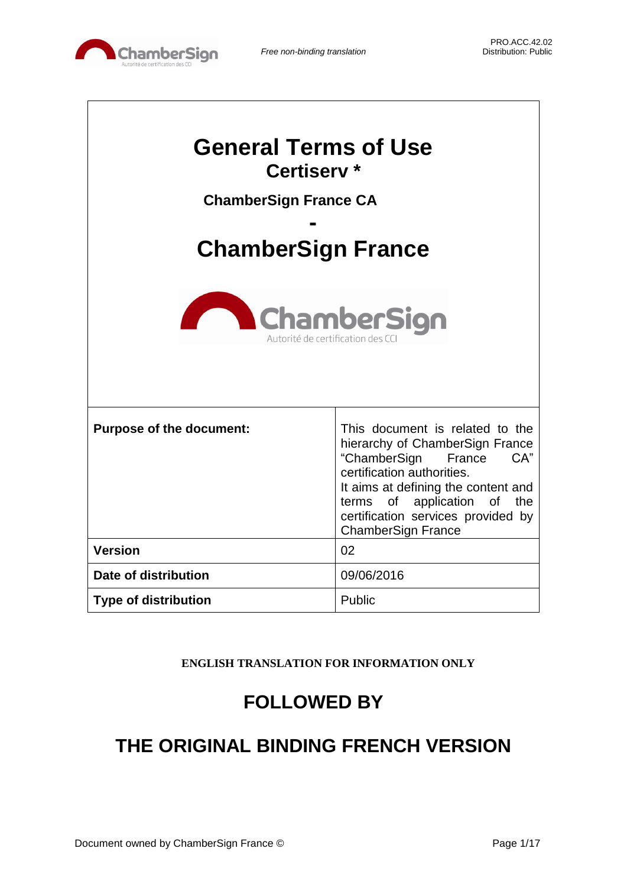

| <b>General Terms of Use</b><br>Certiserv <sup>*</sup><br><b>ChamberSign France CA</b><br><b>ChamberSign France</b><br><b>ChamberSign</b><br>Autorité de certification des C |                                                                                                                                                                                                                                                                            |  |
|-----------------------------------------------------------------------------------------------------------------------------------------------------------------------------|----------------------------------------------------------------------------------------------------------------------------------------------------------------------------------------------------------------------------------------------------------------------------|--|
| <b>Purpose of the document:</b>                                                                                                                                             | This document is related to the<br>hierarchy of ChamberSign France<br>CA"<br>"ChamberSign<br>France<br>certification authorities.<br>It aims at defining the content and<br>terms of application of the<br>certification services provided by<br><b>ChamberSign France</b> |  |
| <b>Version</b>                                                                                                                                                              | 02                                                                                                                                                                                                                                                                         |  |
| Date of distribution                                                                                                                                                        | 09/06/2016                                                                                                                                                                                                                                                                 |  |
| <b>Type of distribution</b>                                                                                                                                                 | Public                                                                                                                                                                                                                                                                     |  |

**ENGLISH TRANSLATION FOR INFORMATION ONLY**

# **FOLLOWED BY**

# **THE ORIGINAL BINDING FRENCH VERSION**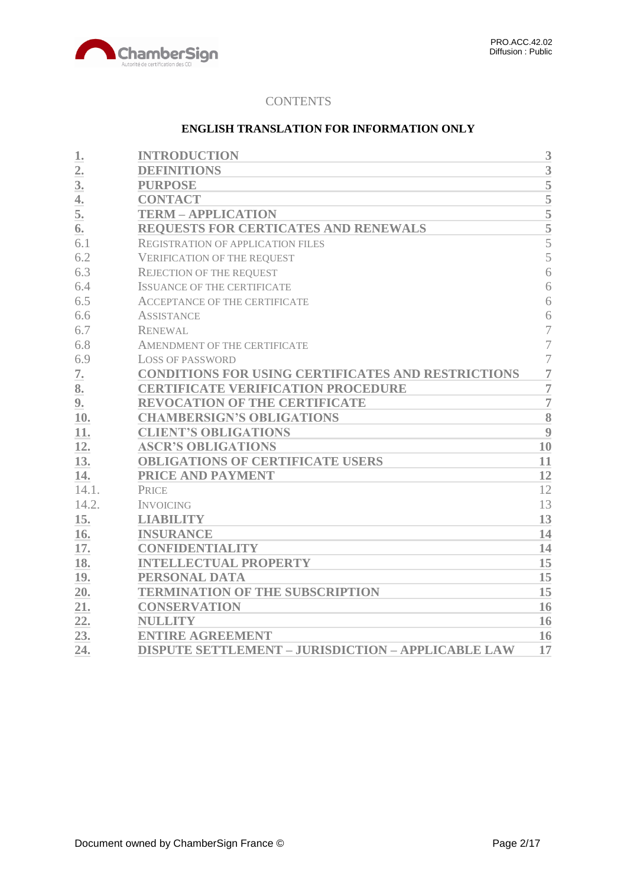

# **CONTENTS**

# **ENGLISH TRANSLATION FOR INFORMATION ONLY**

| 1.               | <b>INTRODUCTION</b>                                       | 3                       |
|------------------|-----------------------------------------------------------|-------------------------|
| 2.               | <b>DEFINITIONS</b>                                        | 3                       |
| 3.               | <b>PURPOSE</b>                                            | $\overline{5}$          |
| $\overline{4}$ . | <b>CONTACT</b>                                            | $\overline{5}$          |
| 5.               | <b>TERM - APPLICATION</b>                                 | $\overline{5}$          |
| 6.               | REQUESTS FOR CERTICATES AND RENEWALS                      | 5                       |
| 6.1              | <b>REGISTRATION OF APPLICATION FILES</b>                  | 5                       |
| 6.2              | <b>VERIFICATION OF THE REQUEST</b>                        | 5                       |
| 6.3              | <b>REJECTION OF THE REQUEST</b>                           | 6                       |
| 6.4              | <b>ISSUANCE OF THE CERTIFICATE</b>                        | 6                       |
| 6.5              | <b>ACCEPTANCE OF THE CERTIFICATE</b>                      | 6                       |
| 6.6              | <b>ASSISTANCE</b>                                         | 6                       |
| 6.7              | <b>RENEWAL</b>                                            | $\overline{7}$          |
| 6.8              | AMENDMENT OF THE CERTIFICATE                              | $\overline{7}$          |
| 6.9              | <b>LOSS OF PASSWORD</b>                                   | $\overline{7}$          |
| 7.               | <b>CONDITIONS FOR USING CERTIFICATES AND RESTRICTIONS</b> | $\overline{7}$          |
| 8.               | <b>CERTIFICATE VERIFICATION PROCEDURE</b>                 | $\overline{7}$          |
| 9.               | <b>REVOCATION OF THE CERTIFICATE</b>                      | $\overline{7}$          |
| 10.              | <b>CHAMBERSIGN'S OBLIGATIONS</b>                          | $\overline{\mathbf{8}}$ |
| 11.              | <b>CLIENT'S OBLIGATIONS</b>                               | 9                       |
| 12.              | <b>ASCR'S OBLIGATIONS</b>                                 | 10                      |
| 13.              | <b>OBLIGATIONS OF CERTIFICATE USERS</b>                   | 11                      |
| 14.              | <b>PRICE AND PAYMENT</b>                                  | 12                      |
| 14.1.            | PRICE                                                     | 12                      |
| 14.2.            | <b>INVOICING</b>                                          | 13                      |
| 15.              | <b>LIABILITY</b>                                          | 13                      |
| 16.              | <b>INSURANCE</b>                                          | 14                      |
| 17.              | <b>CONFIDENTIALITY</b>                                    | 14                      |
| 18.              | <b>INTELLECTUAL PROPERTY</b>                              | 15                      |
| 19.              | PERSONAL DATA                                             | 15                      |
| 20.              | <b>TERMINATION OF THE SUBSCRIPTION</b>                    | 15                      |
| 21.              | <b>CONSERVATION</b>                                       | 16                      |
| 22.              | <b>NULLITY</b>                                            | 16                      |
| 23.              | <b>ENTIRE AGREEMENT</b>                                   | 16                      |
| 24.              | <b>DISPUTE SETTLEMENT - JURISDICTION - APPLICABLE LAW</b> | 17                      |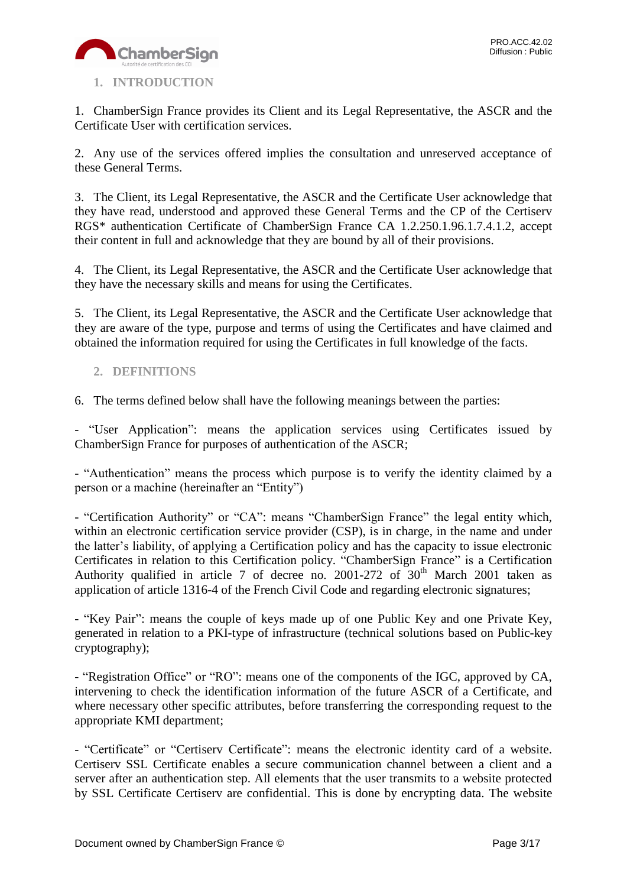

# <span id="page-2-0"></span>**1. INTRODUCTION**

1. ChamberSign France provides its Client and its Legal Representative, the ASCR and the Certificate User with certification services.

2. Any use of the services offered implies the consultation and unreserved acceptance of these General Terms.

3. The Client, its Legal Representative, the ASCR and the Certificate User acknowledge that they have read, understood and approved these General Terms and the CP of the Certiserv RGS\* authentication Certificate of ChamberSign France CA 1.2.250.1.96.1.7.4.1.2, accept their content in full and acknowledge that they are bound by all of their provisions.

4. The Client, its Legal Representative, the ASCR and the Certificate User acknowledge that they have the necessary skills and means for using the Certificates.

5. The Client, its Legal Representative, the ASCR and the Certificate User acknowledge that they are aware of the type, purpose and terms of using the Certificates and have claimed and obtained the information required for using the Certificates in full knowledge of the facts.

# <span id="page-2-1"></span>**2. DEFINITIONS**

6. The terms defined below shall have the following meanings between the parties:

- "User Application": means the application services using Certificates issued by ChamberSign France for purposes of authentication of the ASCR;

- "Authentication" means the process which purpose is to verify the identity claimed by a person or a machine (hereinafter an "Entity")

- "Certification Authority" or "CA": means "ChamberSign France" the legal entity which, within an electronic certification service provider (CSP), is in charge, in the name and under the latter's liability, of applying a Certification policy and has the capacity to issue electronic Certificates in relation to this Certification policy. "ChamberSign France" is a Certification Authority qualified in article 7 of decree no. 2001-272 of  $30<sup>th</sup>$  March 2001 taken as application of article 1316-4 of the French Civil Code and regarding electronic signatures;

**-** "Key Pair": means the couple of keys made up of one Public Key and one Private Key, generated in relation to a PKI-type of infrastructure (technical solutions based on Public-key cryptography);

**-** "Registration Office" or "RO": means one of the components of the IGC, approved by CA, intervening to check the identification information of the future ASCR of a Certificate, and where necessary other specific attributes, before transferring the corresponding request to the appropriate KMI department;

- "Certificate" or "Certiserv Certificate": means the electronic identity card of a website. Certiserv SSL Certificate enables a secure communication channel between a client and a server after an authentication step. All elements that the user transmits to a website protected by SSL Certificate Certiserv are confidential. This is done by encrypting data. The website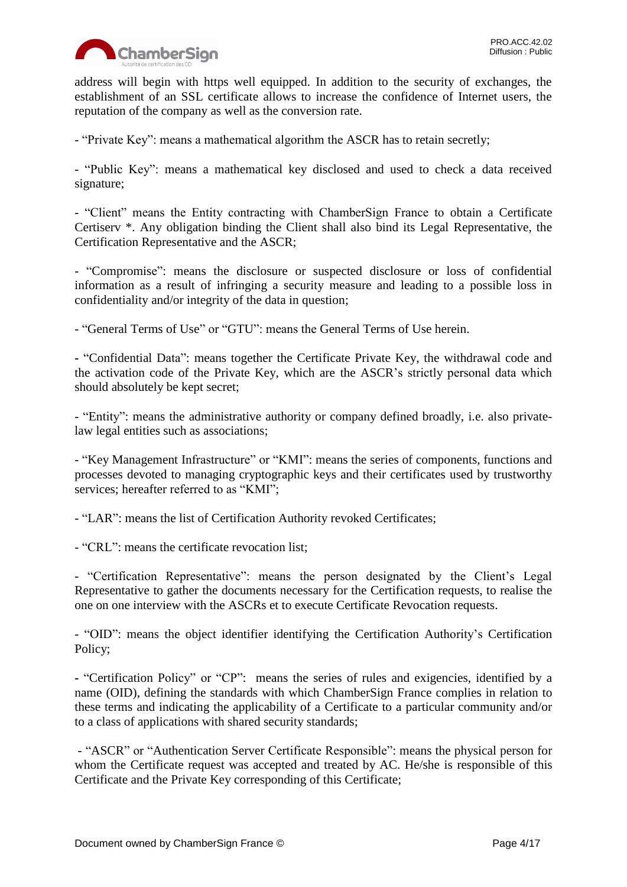

address will begin with https well equipped. In addition to the security of exchanges, the establishment of an SSL certificate allows to increase the confidence of Internet users, the reputation of the company as well as the conversion rate.

- "Private Key": means a mathematical algorithm the ASCR has to retain secretly;

- "Public Key": means a mathematical key disclosed and used to check a data received signature;

- "Client" means the Entity contracting with ChamberSign France to obtain a Certificate Certiserv \*. Any obligation binding the Client shall also bind its Legal Representative, the Certification Representative and the ASCR;

- "Compromise": means the disclosure or suspected disclosure or loss of confidential information as a result of infringing a security measure and leading to a possible loss in confidentiality and/or integrity of the data in question;

- "General Terms of Use" or "GTU": means the General Terms of Use herein.

**-** "Confidential Data": means together the Certificate Private Key, the withdrawal code and the activation code of the Private Key, which are the ASCR's strictly personal data which should absolutely be kept secret;

- "Entity": means the administrative authority or company defined broadly, i.e. also privatelaw legal entities such as associations;

- "Key Management Infrastructure" or "KMI": means the series of components, functions and processes devoted to managing cryptographic keys and their certificates used by trustworthy services: hereafter referred to as "KMI":

- "LAR": means the list of Certification Authority revoked Certificates;

- "CRL": means the certificate revocation list;

- "Certification Representative": means the person designated by the Client's Legal Representative to gather the documents necessary for the Certification requests, to realise the one on one interview with the ASCRs et to execute Certificate Revocation requests.

- "OID": means the object identifier identifying the Certification Authority's Certification Policy;

**-** "Certification Policy" or "CP": means the series of rules and exigencies, identified by a name (OID), defining the standards with which ChamberSign France complies in relation to these terms and indicating the applicability of a Certificate to a particular community and/or to a class of applications with shared security standards;

- "ASCR" or "Authentication Server Certificate Responsible": means the physical person for whom the Certificate request was accepted and treated by AC. He/she is responsible of this Certificate and the Private Key corresponding of this Certificate;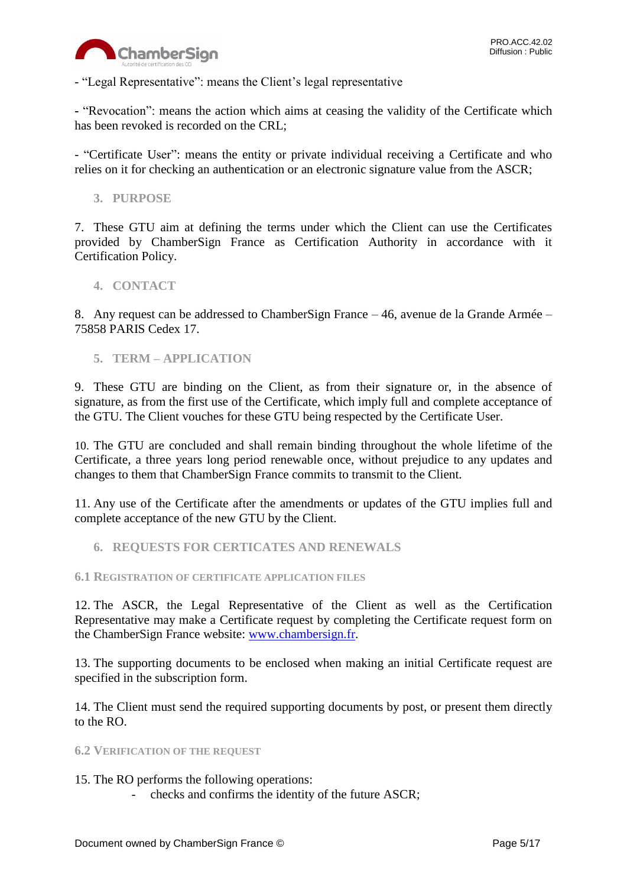

- "Legal Representative": means the Client's legal representative

**-** "Revocation": means the action which aims at ceasing the validity of the Certificate which has been revoked is recorded on the CRL;

- "Certificate User": means the entity or private individual receiving a Certificate and who relies on it for checking an authentication or an electronic signature value from the ASCR;

<span id="page-4-0"></span>**3. PURPOSE**

7. These GTU aim at defining the terms under which the Client can use the Certificates provided by ChamberSign France as Certification Authority in accordance with it Certification Policy.

## <span id="page-4-1"></span>**4. CONTACT**

8. Any request can be addressed to ChamberSign France – 46, avenue de la Grande Armée – 75858 PARIS Cedex 17.

<span id="page-4-2"></span>**5. TERM – APPLICATION**

9. These GTU are binding on the Client, as from their signature or, in the absence of signature, as from the first use of the Certificate, which imply full and complete acceptance of the GTU. The Client vouches for these GTU being respected by the Certificate User.

10. The GTU are concluded and shall remain binding throughout the whole lifetime of the Certificate, a three years long period renewable once, without prejudice to any updates and changes to them that ChamberSign France commits to transmit to the Client.

11. Any use of the Certificate after the amendments or updates of the GTU implies full and complete acceptance of the new GTU by the Client.

<span id="page-4-3"></span>**6. REQUESTS FOR CERTICATES AND RENEWALS**

## <span id="page-4-4"></span>**6.1 REGISTRATION OF CERTIFICATE APPLICATION FILES**

12. The ASCR, the Legal Representative of the Client as well as the Certification Representative may make a Certificate request by completing the Certificate request form on the ChamberSign France website: [www.chambersign.fr.](http://www.chambersign.fr/)

13. The supporting documents to be enclosed when making an initial Certificate request are specified in the subscription form.

14. The Client must send the required supporting documents by post, or present them directly to the RO.

<span id="page-4-5"></span>**6.2 VERIFICATION OF THE REQUEST**

## 15. The RO performs the following operations:

- checks and confirms the identity of the future ASCR;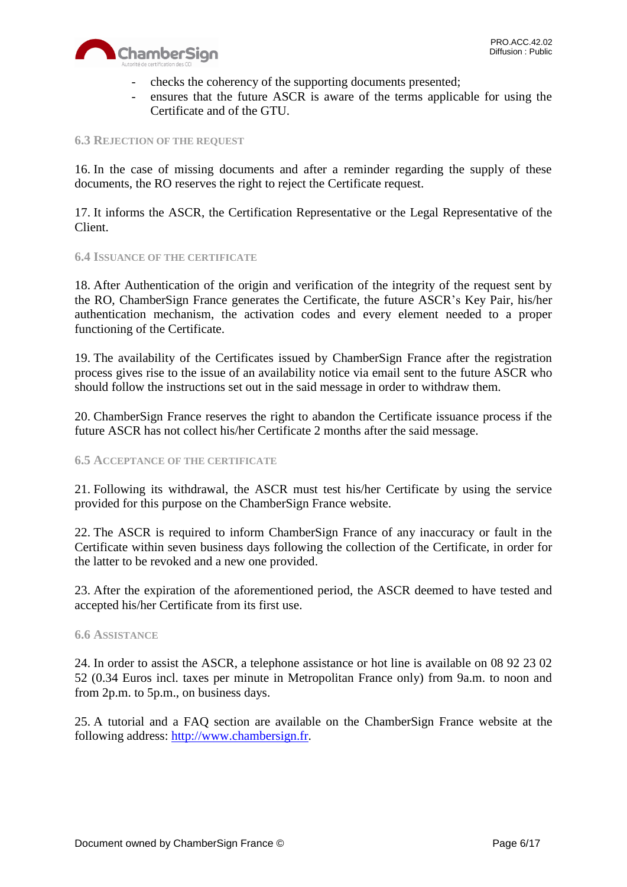

- checks the coherency of the supporting documents presented;
- ensures that the future ASCR is aware of the terms applicable for using the Certificate and of the GTU.

#### <span id="page-5-0"></span>**6.3 REJECTION OF THE REQUEST**

16. In the case of missing documents and after a reminder regarding the supply of these documents, the RO reserves the right to reject the Certificate request.

17. It informs the ASCR, the Certification Representative or the Legal Representative of the Client.

## <span id="page-5-1"></span>**6.4 ISSUANCE OF THE CERTIFICATE**

18. After Authentication of the origin and verification of the integrity of the request sent by the RO, ChamberSign France generates the Certificate, the future ASCR's Key Pair, his/her authentication mechanism, the activation codes and every element needed to a proper functioning of the Certificate.

19. The availability of the Certificates issued by ChamberSign France after the registration process gives rise to the issue of an availability notice via email sent to the future ASCR who should follow the instructions set out in the said message in order to withdraw them.

20. ChamberSign France reserves the right to abandon the Certificate issuance process if the future ASCR has not collect his/her Certificate 2 months after the said message.

## <span id="page-5-2"></span>**6.5 ACCEPTANCE OF THE CERTIFICATE**

21. Following its withdrawal, the ASCR must test his/her Certificate by using the service provided for this purpose on the ChamberSign France website.

22. The ASCR is required to inform ChamberSign France of any inaccuracy or fault in the Certificate within seven business days following the collection of the Certificate, in order for the latter to be revoked and a new one provided.

23. After the expiration of the aforementioned period, the ASCR deemed to have tested and accepted his/her Certificate from its first use.

#### <span id="page-5-3"></span>**6.6 ASSISTANCE**

24. In order to assist the ASCR, a telephone assistance or hot line is available on 08 92 23 02 52 (0.34 Euros incl. taxes per minute in Metropolitan France only) from 9a.m. to noon and from 2p.m. to 5p.m., on business days.

25. A tutorial and a FAQ section are available on the ChamberSign France website at the following address: [http://www.chambersign.fr.](http://www.chambersign.fr/)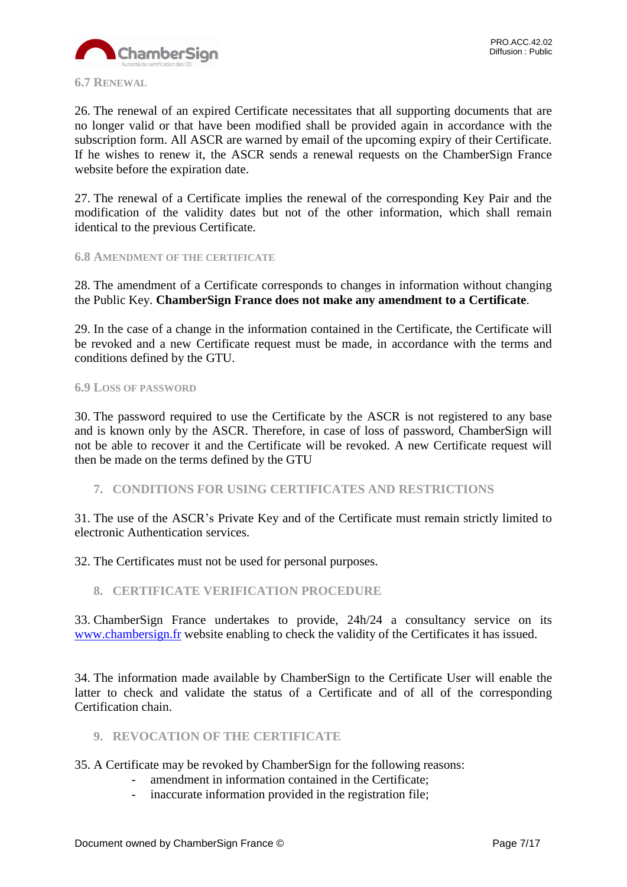<span id="page-6-0"></span>26. The renewal of an expired Certificate necessitates that all supporting documents that are no longer valid or that have been modified shall be provided again in accordance with the subscription form. All ASCR are warned by email of the upcoming expiry of their Certificate. If he wishes to renew it, the ASCR sends a renewal requests on the ChamberSign France website before the expiration date.

27. The renewal of a Certificate implies the renewal of the corresponding Key Pair and the modification of the validity dates but not of the other information, which shall remain identical to the previous Certificate.

## <span id="page-6-1"></span>**6.8 AMENDMENT OF THE CERTIFICATE**

28. The amendment of a Certificate corresponds to changes in information without changing the Public Key. **ChamberSign France does not make any amendment to a Certificate**.

29. In the case of a change in the information contained in the Certificate, the Certificate will be revoked and a new Certificate request must be made, in accordance with the terms and conditions defined by the GTU.

## <span id="page-6-2"></span>**6.9 LOSS OF PASSWORD**

30. The password required to use the Certificate by the ASCR is not registered to any base and is known only by the ASCR. Therefore, in case of loss of password, ChamberSign will not be able to recover it and the Certificate will be revoked. A new Certificate request will then be made on the terms defined by the GTU

<span id="page-6-3"></span>**7. CONDITIONS FOR USING CERTIFICATES AND RESTRICTIONS**

31. The use of the ASCR's Private Key and of the Certificate must remain strictly limited to electronic Authentication services.

32. The Certificates must not be used for personal purposes.

<span id="page-6-4"></span>**8. CERTIFICATE VERIFICATION PROCEDURE**

33. ChamberSign France undertakes to provide, 24h/24 a consultancy service on its [www.chambersign.fr](http://www.chambersign.fr/) website enabling to check the validity of the Certificates it has issued.

34. The information made available by ChamberSign to the Certificate User will enable the latter to check and validate the status of a Certificate and of all of the corresponding Certification chain.

- <span id="page-6-5"></span>**9. REVOCATION OF THE CERTIFICATE**
- 35. A Certificate may be revoked by ChamberSign for the following reasons:
	- amendment in information contained in the Certificate;
	- inaccurate information provided in the registration file;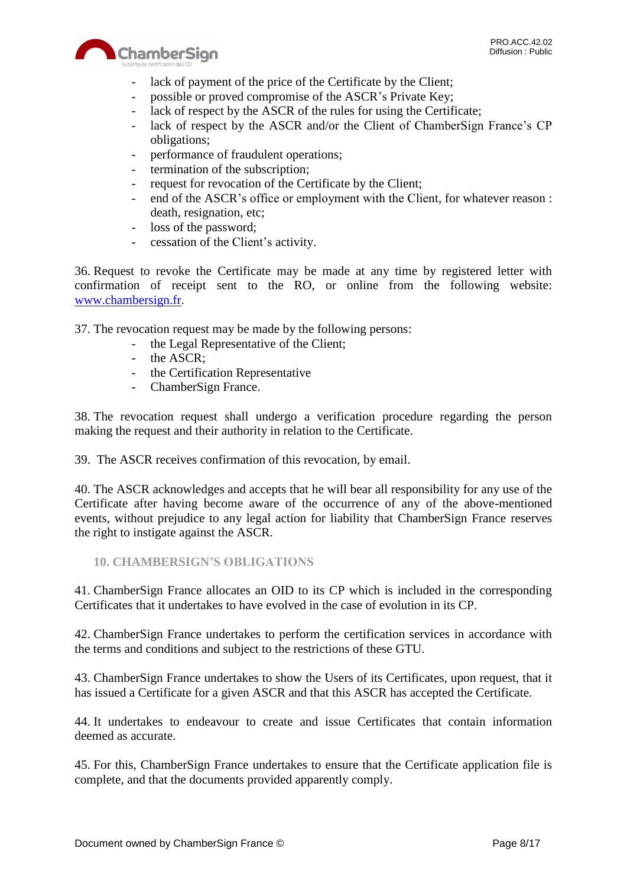

- lack of payment of the price of the Certificate by the Client;
- possible or proved compromise of the ASCR's Private Key;
- lack of respect by the ASCR of the rules for using the Certificate;
- lack of respect by the ASCR and/or the Client of ChamberSign France's CP obligations;
- performance of fraudulent operations;
- termination of the subscription;
- request for revocation of the Certificate by the Client;
- end of the ASCR's office or employment with the Client, for whatever reason : death, resignation, etc;
- loss of the password;
- cessation of the Client's activity.

36. Request to revoke the Certificate may be made at any time by registered letter with confirmation of receipt sent to the RO, or online from the following website: [www.chambersign.fr.](http://www.chambersign.fr/)

37. The revocation request may be made by the following persons:

- the Legal Representative of the Client;
- the ASCR;
- the Certification Representative
- ChamberSign France.

38. The revocation request shall undergo a verification procedure regarding the person making the request and their authority in relation to the Certificate.

39. The ASCR receives confirmation of this revocation, by email.

40. The ASCR acknowledges and accepts that he will bear all responsibility for any use of the Certificate after having become aware of the occurrence of any of the above-mentioned events, without prejudice to any legal action for liability that ChamberSign France reserves the right to instigate against the ASCR.

<span id="page-7-0"></span>**10. CHAMBERSIGN'S OBLIGATIONS**

41. ChamberSign France allocates an OID to its CP which is included in the corresponding Certificates that it undertakes to have evolved in the case of evolution in its CP.

42. ChamberSign France undertakes to perform the certification services in accordance with the terms and conditions and subject to the restrictions of these GTU.

43. ChamberSign France undertakes to show the Users of its Certificates, upon request, that it has issued a Certificate for a given ASCR and that this ASCR has accepted the Certificate.

44. It undertakes to endeavour to create and issue Certificates that contain information deemed as accurate.

45. For this, ChamberSign France undertakes to ensure that the Certificate application file is complete, and that the documents provided apparently comply.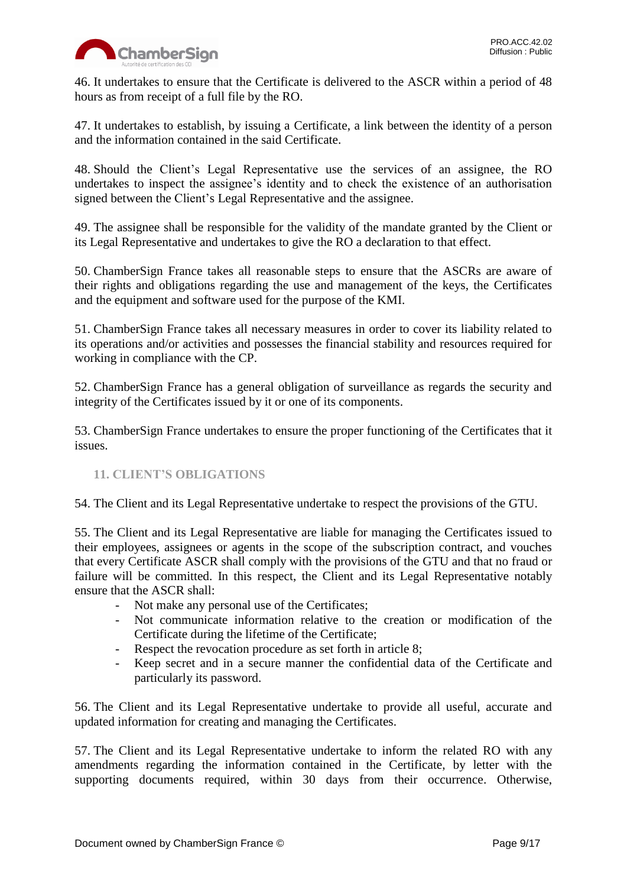

46. It undertakes to ensure that the Certificate is delivered to the ASCR within a period of 48 hours as from receipt of a full file by the RO.

47. It undertakes to establish, by issuing a Certificate, a link between the identity of a person and the information contained in the said Certificate.

48. Should the Client's Legal Representative use the services of an assignee, the RO undertakes to inspect the assignee's identity and to check the existence of an authorisation signed between the Client's Legal Representative and the assignee.

49. The assignee shall be responsible for the validity of the mandate granted by the Client or its Legal Representative and undertakes to give the RO a declaration to that effect.

50. ChamberSign France takes all reasonable steps to ensure that the ASCRs are aware of their rights and obligations regarding the use and management of the keys, the Certificates and the equipment and software used for the purpose of the KMI.

51. ChamberSign France takes all necessary measures in order to cover its liability related to its operations and/or activities and possesses the financial stability and resources required for working in compliance with the CP.

52. ChamberSign France has a general obligation of surveillance as regards the security and integrity of the Certificates issued by it or one of its components.

53. ChamberSign France undertakes to ensure the proper functioning of the Certificates that it issues.

# <span id="page-8-0"></span>**11. CLIENT'S OBLIGATIONS**

54. The Client and its Legal Representative undertake to respect the provisions of the GTU.

55. The Client and its Legal Representative are liable for managing the Certificates issued to their employees, assignees or agents in the scope of the subscription contract, and vouches that every Certificate ASCR shall comply with the provisions of the GTU and that no fraud or failure will be committed. In this respect, the Client and its Legal Representative notably ensure that the ASCR shall:

- Not make any personal use of the Certificates;
- Not communicate information relative to the creation or modification of the Certificate during the lifetime of the Certificate;
- Respect the revocation procedure as set forth in article 8;
- Keep secret and in a secure manner the confidential data of the Certificate and particularly its password.

56. The Client and its Legal Representative undertake to provide all useful, accurate and updated information for creating and managing the Certificates.

57. The Client and its Legal Representative undertake to inform the related RO with any amendments regarding the information contained in the Certificate, by letter with the supporting documents required, within 30 days from their occurrence. Otherwise,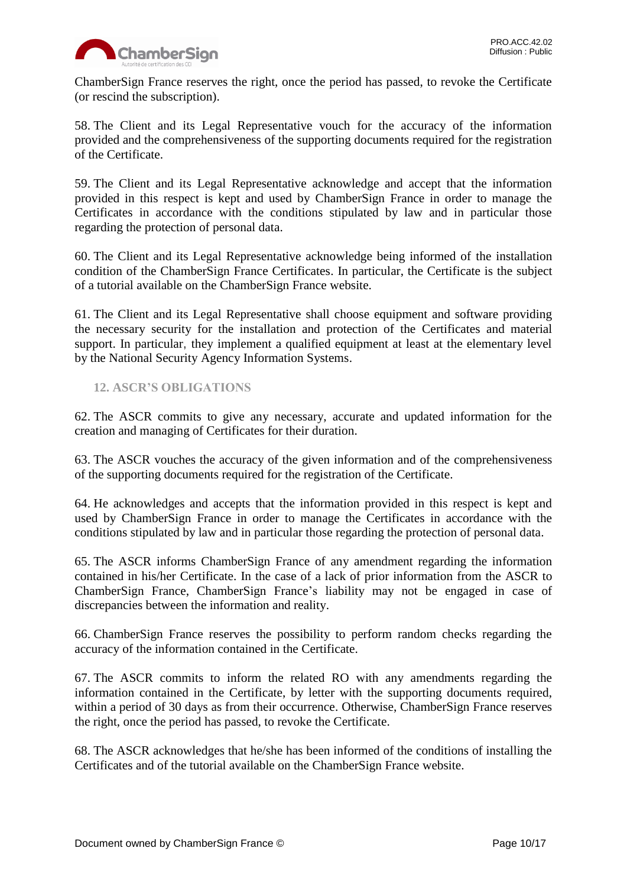

ChamberSign France reserves the right, once the period has passed, to revoke the Certificate (or rescind the subscription).

58. The Client and its Legal Representative vouch for the accuracy of the information provided and the comprehensiveness of the supporting documents required for the registration of the Certificate.

59. The Client and its Legal Representative acknowledge and accept that the information provided in this respect is kept and used by ChamberSign France in order to manage the Certificates in accordance with the conditions stipulated by law and in particular those regarding the protection of personal data.

60. The Client and its Legal Representative acknowledge being informed of the installation condition of the ChamberSign France Certificates. In particular, the Certificate is the subject of a tutorial available on the ChamberSign France website.

61. The Client and its Legal Representative shall choose equipment and software providing the necessary security for the installation and protection of the Certificates and material support. In particular, they implement a qualified equipment at least at the elementary level by the National Security Agency Information Systems.

# <span id="page-9-0"></span>**12. ASCR'S OBLIGATIONS**

62. The ASCR commits to give any necessary, accurate and updated information for the creation and managing of Certificates for their duration.

63. The ASCR vouches the accuracy of the given information and of the comprehensiveness of the supporting documents required for the registration of the Certificate.

64. He acknowledges and accepts that the information provided in this respect is kept and used by ChamberSign France in order to manage the Certificates in accordance with the conditions stipulated by law and in particular those regarding the protection of personal data.

65. The ASCR informs ChamberSign France of any amendment regarding the information contained in his/her Certificate. In the case of a lack of prior information from the ASCR to ChamberSign France, ChamberSign France's liability may not be engaged in case of discrepancies between the information and reality.

66. ChamberSign France reserves the possibility to perform random checks regarding the accuracy of the information contained in the Certificate.

67. The ASCR commits to inform the related RO with any amendments regarding the information contained in the Certificate, by letter with the supporting documents required, within a period of 30 days as from their occurrence. Otherwise, ChamberSign France reserves the right, once the period has passed, to revoke the Certificate.

68. The ASCR acknowledges that he/she has been informed of the conditions of installing the Certificates and of the tutorial available on the ChamberSign France website.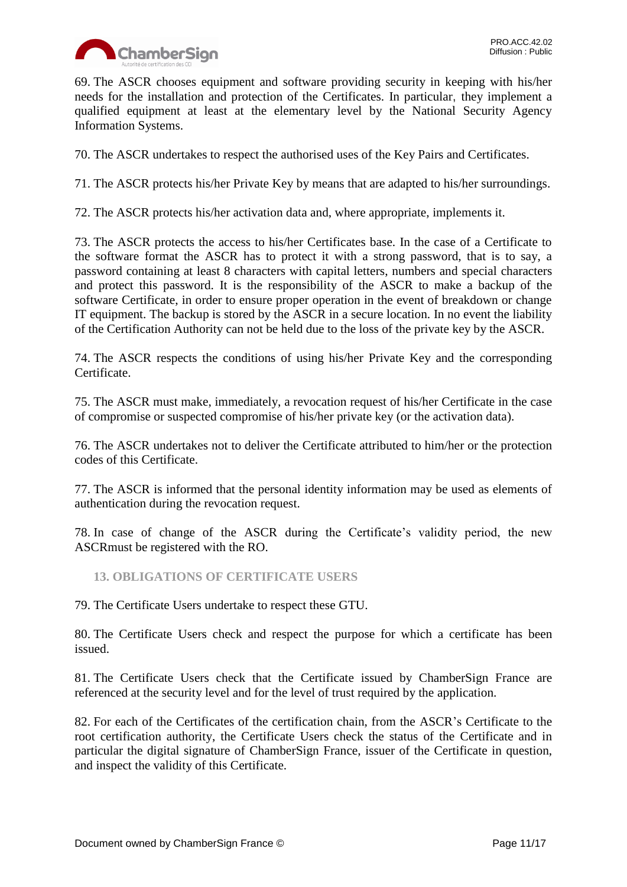

69. The ASCR chooses equipment and software providing security in keeping with his/her needs for the installation and protection of the Certificates. In particular, they implement a qualified equipment at least at the elementary level by the National Security Agency Information Systems.

70. The ASCR undertakes to respect the authorised uses of the Key Pairs and Certificates.

71. The ASCR protects his/her Private Key by means that are adapted to his/her surroundings.

72. The ASCR protects his/her activation data and, where appropriate, implements it.

73. The ASCR protects the access to his/her Certificates base. In the case of a Certificate to the software format the ASCR has to protect it with a strong password, that is to say, a password containing at least 8 characters with capital letters, numbers and special characters and protect this password. It is the responsibility of the ASCR to make a backup of the software Certificate, in order to ensure proper operation in the event of breakdown or change IT equipment. The backup is stored by the ASCR in a secure location. In no event the liability of the Certification Authority can not be held due to the loss of the private key by the ASCR.

74. The ASCR respects the conditions of using his/her Private Key and the corresponding Certificate.

75. The ASCR must make, immediately, a revocation request of his/her Certificate in the case of compromise or suspected compromise of his/her private key (or the activation data).

76. The ASCR undertakes not to deliver the Certificate attributed to him/her or the protection codes of this Certificate.

77. The ASCR is informed that the personal identity information may be used as elements of authentication during the revocation request.

78. In case of change of the ASCR during the Certificate's validity period, the new ASCRmust be registered with the RO.

<span id="page-10-0"></span>**13. OBLIGATIONS OF CERTIFICATE USERS**

79. The Certificate Users undertake to respect these GTU.

80. The Certificate Users check and respect the purpose for which a certificate has been issued.

81. The Certificate Users check that the Certificate issued by ChamberSign France are referenced at the security level and for the level of trust required by the application.

82. For each of the Certificates of the certification chain, from the ASCR's Certificate to the root certification authority, the Certificate Users check the status of the Certificate and in particular the digital signature of ChamberSign France, issuer of the Certificate in question, and inspect the validity of this Certificate.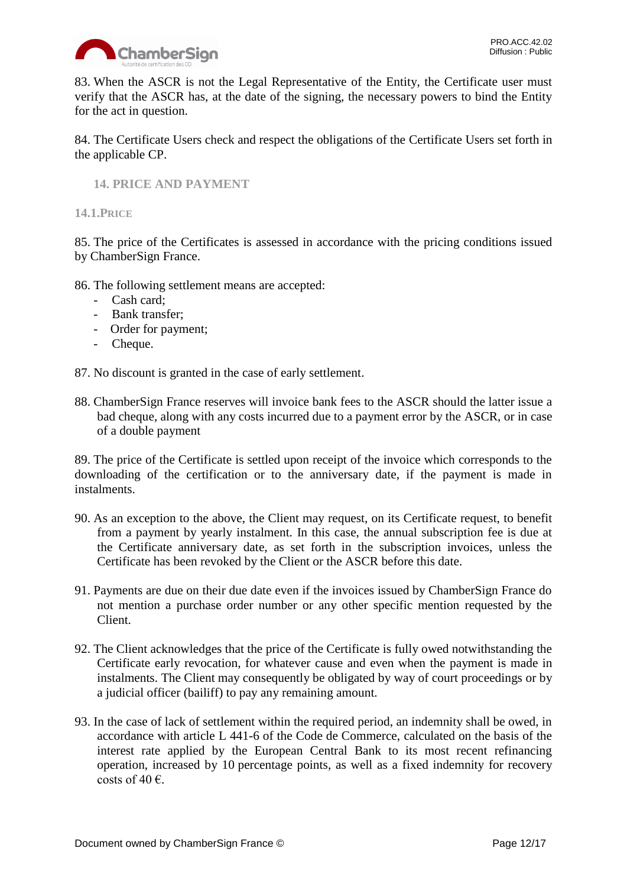

83. When the ASCR is not the Legal Representative of the Entity, the Certificate user must verify that the ASCR has, at the date of the signing, the necessary powers to bind the Entity for the act in question.

84. The Certificate Users check and respect the obligations of the Certificate Users set forth in the applicable CP.

<span id="page-11-0"></span>**14. PRICE AND PAYMENT**

<span id="page-11-1"></span>**14.1.PRICE**

85. The price of the Certificates is assessed in accordance with the pricing conditions issued by ChamberSign France.

86. The following settlement means are accepted:

- Cash card;
- Bank transfer;
- Order for payment;
- Cheque.

87. No discount is granted in the case of early settlement.

88. ChamberSign France reserves will invoice bank fees to the ASCR should the latter issue a bad cheque, along with any costs incurred due to a payment error by the ASCR, or in case of a double payment

89. The price of the Certificate is settled upon receipt of the invoice which corresponds to the downloading of the certification or to the anniversary date, if the payment is made in instalments.

- 90. As an exception to the above, the Client may request, on its Certificate request, to benefit from a payment by yearly instalment. In this case, the annual subscription fee is due at the Certificate anniversary date, as set forth in the subscription invoices, unless the Certificate has been revoked by the Client or the ASCR before this date.
- 91. Payments are due on their due date even if the invoices issued by ChamberSign France do not mention a purchase order number or any other specific mention requested by the Client.
- 92. The Client acknowledges that the price of the Certificate is fully owed notwithstanding the Certificate early revocation, for whatever cause and even when the payment is made in instalments. The Client may consequently be obligated by way of court proceedings or by a judicial officer (bailiff) to pay any remaining amount.
- 93. In the case of lack of settlement within the required period, an indemnity shall be owed, in accordance with article L 441-6 of the Code de Commerce, calculated on the basis of the interest rate applied by the European Central Bank to its most recent refinancing operation, increased by 10 percentage points, as well as a fixed indemnity for recovery costs of 40  $\epsilon$ .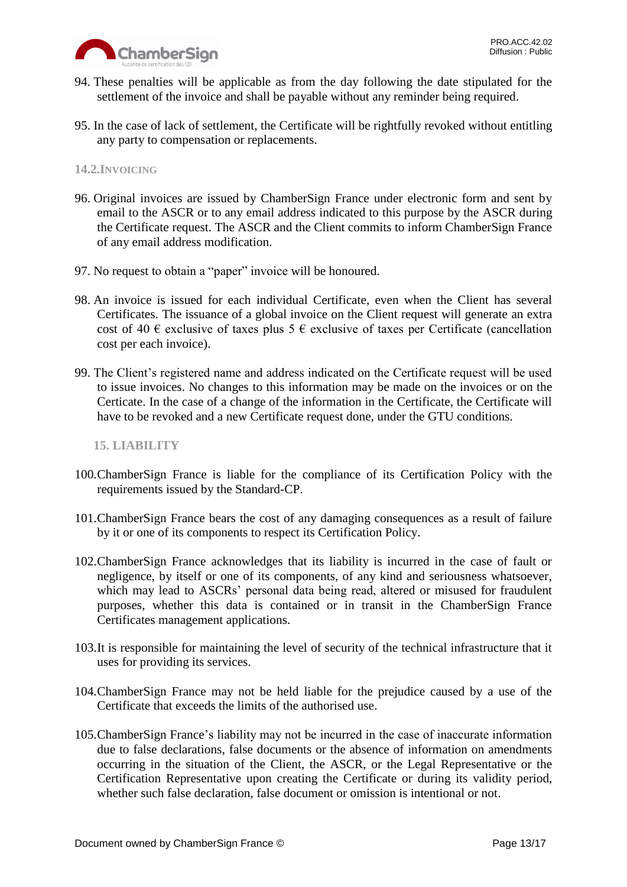

- 94. These penalties will be applicable as from the day following the date stipulated for the settlement of the invoice and shall be payable without any reminder being required.
- 95. In the case of lack of settlement, the Certificate will be rightfully revoked without entitling any party to compensation or replacements.

# <span id="page-12-0"></span>**14.2.INVOICING**

- 96. Original invoices are issued by ChamberSign France under electronic form and sent by email to the ASCR or to any email address indicated to this purpose by the ASCR during the Certificate request. The ASCR and the Client commits to inform ChamberSign France of any email address modification.
- 97. No request to obtain a "paper" invoice will be honoured.
- 98. An invoice is issued for each individual Certificate, even when the Client has several Certificates. The issuance of a global invoice on the Client request will generate an extra cost of 40  $\epsilon$  exclusive of taxes plus 5  $\epsilon$  exclusive of taxes per Certificate (cancellation cost per each invoice).
- 99. The Client's registered name and address indicated on the Certificate request will be used to issue invoices. No changes to this information may be made on the invoices or on the Certicate. In the case of a change of the information in the Certificate, the Certificate will have to be revoked and a new Certificate request done, under the GTU conditions.

## <span id="page-12-1"></span>**15. LIABILITY**

- 100.ChamberSign France is liable for the compliance of its Certification Policy with the requirements issued by the Standard-CP.
- 101.ChamberSign France bears the cost of any damaging consequences as a result of failure by it or one of its components to respect its Certification Policy.
- 102.ChamberSign France acknowledges that its liability is incurred in the case of fault or negligence, by itself or one of its components, of any kind and seriousness whatsoever, which may lead to ASCRs' personal data being read, altered or misused for fraudulent purposes, whether this data is contained or in transit in the ChamberSign France Certificates management applications.
- 103.It is responsible for maintaining the level of security of the technical infrastructure that it uses for providing its services.
- 104.ChamberSign France may not be held liable for the prejudice caused by a use of the Certificate that exceeds the limits of the authorised use.
- 105.ChamberSign France's liability may not be incurred in the case of inaccurate information due to false declarations, false documents or the absence of information on amendments occurring in the situation of the Client, the ASCR, or the Legal Representative or the Certification Representative upon creating the Certificate or during its validity period, whether such false declaration, false document or omission is intentional or not.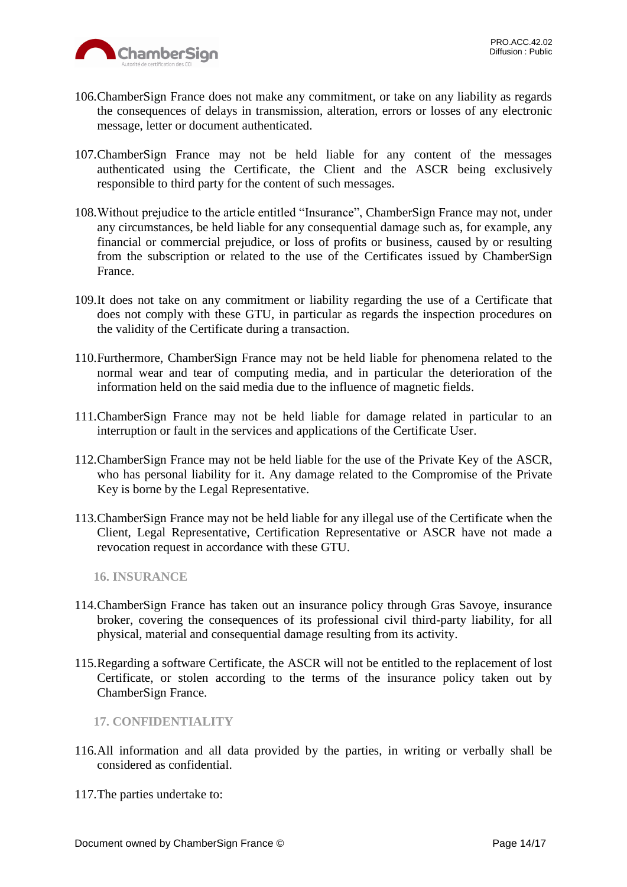

- 106.ChamberSign France does not make any commitment, or take on any liability as regards the consequences of delays in transmission, alteration, errors or losses of any electronic message, letter or document authenticated.
- 107.ChamberSign France may not be held liable for any content of the messages authenticated using the Certificate, the Client and the ASCR being exclusively responsible to third party for the content of such messages.
- 108.Without prejudice to the article entitled "Insurance", ChamberSign France may not, under any circumstances, be held liable for any consequential damage such as, for example, any financial or commercial prejudice, or loss of profits or business, caused by or resulting from the subscription or related to the use of the Certificates issued by ChamberSign France.
- 109.It does not take on any commitment or liability regarding the use of a Certificate that does not comply with these GTU, in particular as regards the inspection procedures on the validity of the Certificate during a transaction.
- 110.Furthermore, ChamberSign France may not be held liable for phenomena related to the normal wear and tear of computing media, and in particular the deterioration of the information held on the said media due to the influence of magnetic fields.
- 111.ChamberSign France may not be held liable for damage related in particular to an interruption or fault in the services and applications of the Certificate User.
- 112.ChamberSign France may not be held liable for the use of the Private Key of the ASCR, who has personal liability for it. Any damage related to the Compromise of the Private Key is borne by the Legal Representative.
- 113.ChamberSign France may not be held liable for any illegal use of the Certificate when the Client, Legal Representative, Certification Representative or ASCR have not made a revocation request in accordance with these GTU.

<span id="page-13-0"></span>**16. INSURANCE**

- 114.ChamberSign France has taken out an insurance policy through Gras Savoye, insurance broker, covering the consequences of its professional civil third-party liability, for all physical, material and consequential damage resulting from its activity.
- 115.Regarding a software Certificate, the ASCR will not be entitled to the replacement of lost Certificate, or stolen according to the terms of the insurance policy taken out by ChamberSign France.

<span id="page-13-1"></span>**17. CONFIDENTIALITY**

- 116.All information and all data provided by the parties, in writing or verbally shall be considered as confidential.
- 117.The parties undertake to: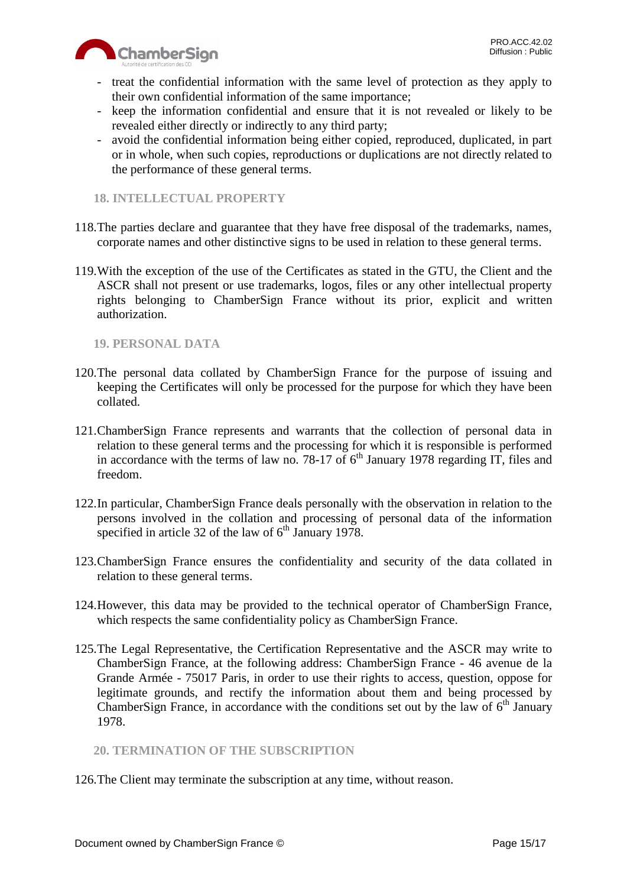

- treat the confidential information with the same level of protection as they apply to their own confidential information of the same importance;
- keep the information confidential and ensure that it is not revealed or likely to be revealed either directly or indirectly to any third party;
- avoid the confidential information being either copied, reproduced, duplicated, in part or in whole, when such copies, reproductions or duplications are not directly related to the performance of these general terms.

# <span id="page-14-0"></span>**18. INTELLECTUAL PROPERTY**

- 118.The parties declare and guarantee that they have free disposal of the trademarks, names, corporate names and other distinctive signs to be used in relation to these general terms.
- 119.With the exception of the use of the Certificates as stated in the GTU, the Client and the ASCR shall not present or use trademarks, logos, files or any other intellectual property rights belonging to ChamberSign France without its prior, explicit and written authorization.

# <span id="page-14-1"></span>**19. PERSONAL DATA**

- 120.The personal data collated by ChamberSign France for the purpose of issuing and keeping the Certificates will only be processed for the purpose for which they have been collated.
- 121.ChamberSign France represents and warrants that the collection of personal data in relation to these general terms and the processing for which it is responsible is performed in accordance with the terms of law no. 78-17 of  $6<sup>th</sup>$  January 1978 regarding IT, files and freedom.
- 122.In particular, ChamberSign France deals personally with the observation in relation to the persons involved in the collation and processing of personal data of the information specified in article 32 of the law of  $6<sup>th</sup>$  January 1978.
- 123.ChamberSign France ensures the confidentiality and security of the data collated in relation to these general terms.
- 124.However, this data may be provided to the technical operator of ChamberSign France, which respects the same confidentiality policy as ChamberSign France.
- 125.The Legal Representative, the Certification Representative and the ASCR may write to ChamberSign France, at the following address: ChamberSign France - 46 avenue de la Grande Armée - 75017 Paris, in order to use their rights to access, question, oppose for legitimate grounds, and rectify the information about them and being processed by ChamberSign France, in accordance with the conditions set out by the law of  $6<sup>th</sup>$  January 1978.

# <span id="page-14-2"></span>**20. TERMINATION OF THE SUBSCRIPTION**

126.The Client may terminate the subscription at any time, without reason.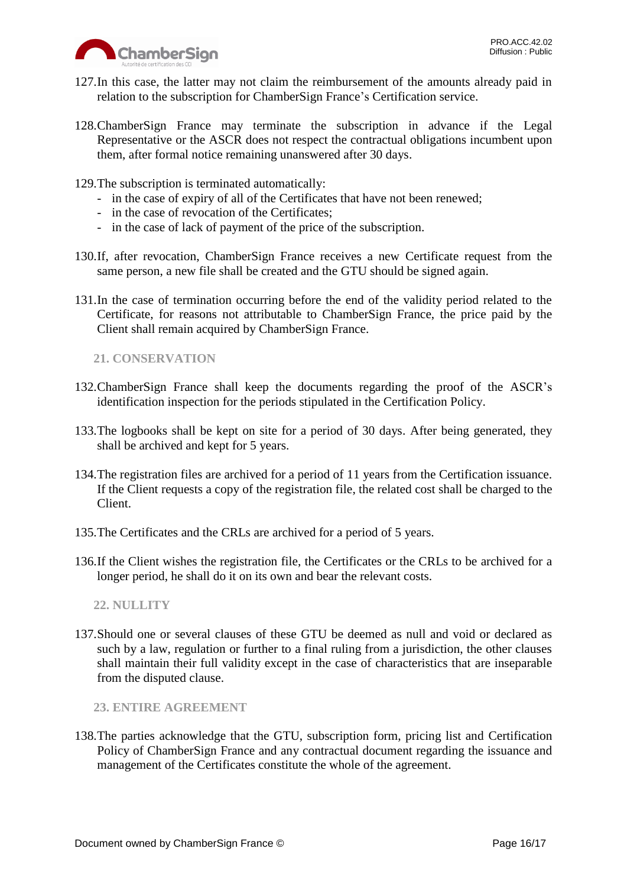

- 127.In this case, the latter may not claim the reimbursement of the amounts already paid in relation to the subscription for ChamberSign France's Certification service.
- 128.ChamberSign France may terminate the subscription in advance if the Legal Representative or the ASCR does not respect the contractual obligations incumbent upon them, after formal notice remaining unanswered after 30 days.
- 129.The subscription is terminated automatically:
	- in the case of expiry of all of the Certificates that have not been renewed;
	- in the case of revocation of the Certificates;
	- in the case of lack of payment of the price of the subscription.
- 130.If, after revocation, ChamberSign France receives a new Certificate request from the same person, a new file shall be created and the GTU should be signed again.
- 131.In the case of termination occurring before the end of the validity period related to the Certificate, for reasons not attributable to ChamberSign France, the price paid by the Client shall remain acquired by ChamberSign France.

<span id="page-15-0"></span>**21. CONSERVATION**

- 132.ChamberSign France shall keep the documents regarding the proof of the ASCR's identification inspection for the periods stipulated in the Certification Policy.
- 133.The logbooks shall be kept on site for a period of 30 days. After being generated, they shall be archived and kept for 5 years.
- 134.The registration files are archived for a period of 11 years from the Certification issuance. If the Client requests a copy of the registration file, the related cost shall be charged to the Client.
- 135.The Certificates and the CRLs are archived for a period of 5 years.
- 136.If the Client wishes the registration file, the Certificates or the CRLs to be archived for a longer period, he shall do it on its own and bear the relevant costs.

<span id="page-15-1"></span>**22. NULLITY**

137.Should one or several clauses of these GTU be deemed as null and void or declared as such by a law, regulation or further to a final ruling from a jurisdiction, the other clauses shall maintain their full validity except in the case of characteristics that are inseparable from the disputed clause.

<span id="page-15-2"></span>**23. ENTIRE AGREEMENT**

138.The parties acknowledge that the GTU, subscription form, pricing list and Certification Policy of ChamberSign France and any contractual document regarding the issuance and management of the Certificates constitute the whole of the agreement.